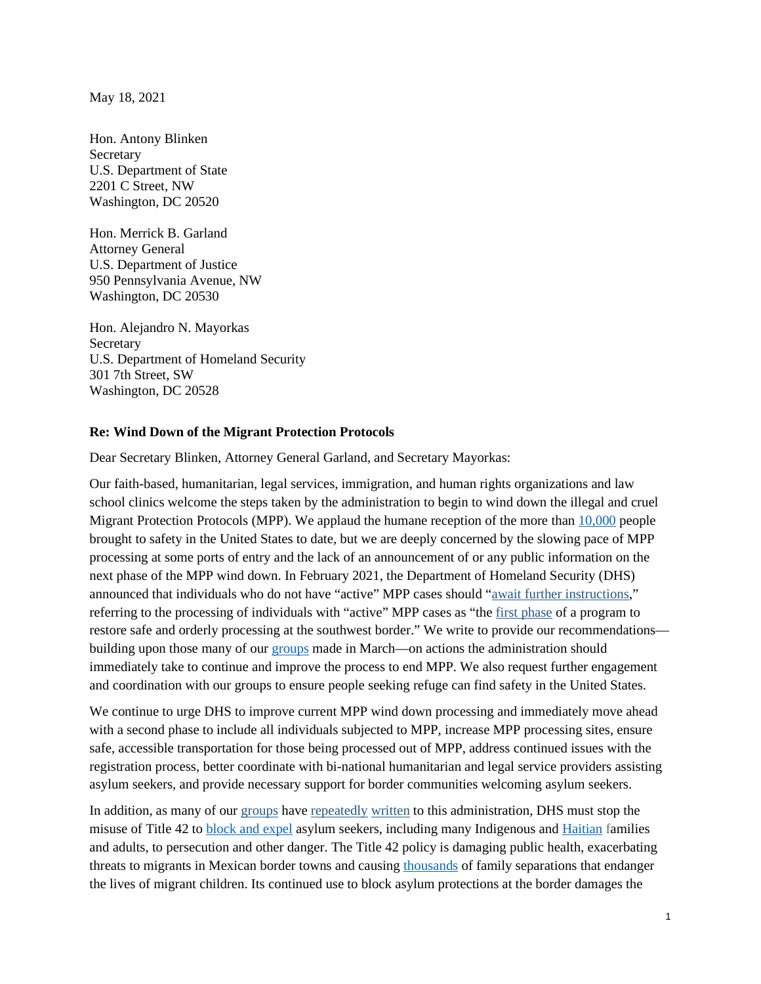May 18, 2021

Hon. Antony Blinken Secretary U.S. Department of State 2201 C Street, NW Washington, DC 20520

Hon. Merrick B. Garland Attorney General U.S. Department of Justice 950 Pennsylvania Avenue, NW Washington, DC 20530

Hon. Alejandro N. Mayorkas **Secretary** U.S. Department of Homeland Security 301 7th Street, SW Washington, DC 20528

#### **Re: Wind Down of the Migrant Protection Protocols**

Dear Secretary Blinken, Attorney General Garland, and Secretary Mayorkas:

Our faith-based, humanitarian, legal services, immigration, and human rights organizations and law school clinics welcome the steps taken by the administration to begin to wind down the illegal and cruel Migrant Protection Protocols (MPP). We applaud the humane reception of the more than [10,000](https://www.cbsnews.com/news/immigration-asylum-remain-in-mexico-biden/) people brought to safety in the United States to date, but we are deeply concerned by the slowing pace of MPP processing at some ports of entry and the lack of an announcement of or any public information on the next phase of the MPP wind down. In February 2021, the Department of Homeland Security (DHS) announced that individuals who do not have "active" MPP cases should ["await further instructions,](https://www.dhs.gov/news/2021/02/11/dhs-announces-process-address-individuals-mexico-active-mpp-cases)" referring to the processing of individuals with "active" MPP cases as "the [first phase](https://www.reuters.com/article/us-usa-immigration-asylum/as-biden-winds-down-mexico-program-many-migrants-on-u-s-border-left-in-limbo-idUSKBN2B419F) of a program to restore safe and orderly processing at the southwest border." We write to provide our recommendations building upon those many of our [groups](https://www.humanrightsfirst.org/resource/letter-dhs-and-state-department-mpp-wind-down-process) made in March—on actions the administration should immediately take to continue and improve the process to end MPP. We also request further engagement and coordination with our groups to ensure people seeking refuge can find safety in the United States.

We continue to urge DHS to improve current MPP wind down processing and immediately move ahead with a second phase to include all individuals subjected to MPP, increase MPP processing sites, ensure safe, accessible transportation for those being processed out of MPP, address continued issues with the registration process, better coordinate with bi-national humanitarian and legal service providers assisting asylum seekers, and provide necessary support for border communities welcoming asylum seekers.

In addition, as many of our [groups](https://www.humanrightsfirst.org/sites/default/files/LetterBidenAdminTitle42.Updated.pdf) have [repeatedly](https://www.humanrightsfirst.org/resource/ngo-letter-biden-administration-welcoming-asylum-executive-order-urging-swift-rescission) [written](https://www.humanrightsfirst.org/resource/ngo-letter-biden-administration-asylum-seeker-expulsions-haiti) to this administration, DHS must stop the misuse of Title 42 to [block and expel](https://www.humanrightsfirst.org/resource/failure-protect-biden-administration-continues-illegal-trump-policy-block-and-expel-asylum) asylum seekers, including many Indigenous and [Haitian](https://www.quixote.org/wp-content/uploads/2021/03/The-Invisible-Wall.pdf) families and adults, to persecution and other danger. The Title 42 policy is damaging public health, exacerbating threats to migrants in Mexican border towns and causing [thousands](https://www.cbsnews.com/news/migrant-children-left-families-asylum-border/) of family separations that endanger the lives of migrant children. Its continued use to block asylum protections at the border damages the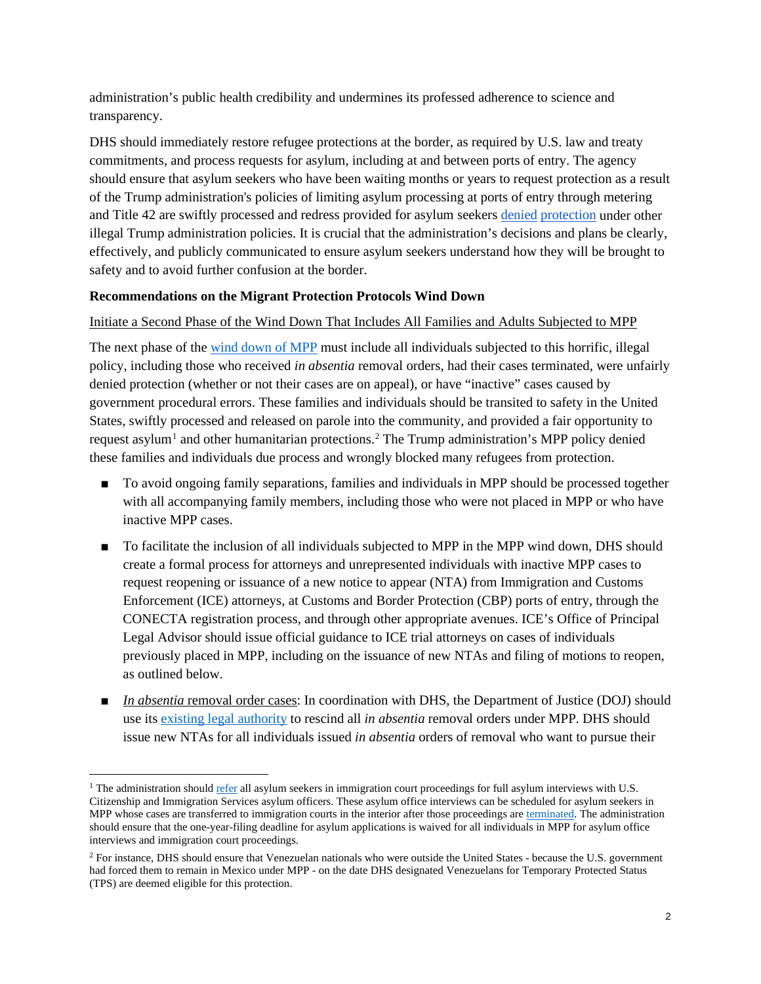administration's public health credibility and undermines its professed adherence to science and transparency.

DHS should immediately restore refugee protections at the border, as required by U.S. law and treaty commitments, and process requests for asylum, including at and between ports of entry. The agency should ensure that asylum seekers who have been waiting months or years to request protection as a result of the Trump administration's policies of limiting asylum processing at ports of entry through metering and Title 42 are swiftly processed and redress provided for asylum seekers [denied](https://www.gao.gov/assets/720/711974.pdf) [protection](https://www.humanrightsfirst.org/resource/asylum-denied-families-divided-trump-administration-s-illegal-third-country-transit-ban) under other illegal Trump administration policies. It is crucial that the administration's decisions and plans be clearly, effectively, and publicly communicated to ensure asylum seekers understand how they will be brought to safety and to avoid further confusion at the border.

## **Recommendations on the Migrant Protection Protocols Wind Down**

## Initiate a Second Phase of the Wind Down That Includes All Families and Adults Subjected to MPP

The next phase of the [wind down of MPP](https://www.humanrightsfirst.org/sites/default/files/FactsheetFullyEndMPP.pdf) must include all individuals subjected to this horrific, illegal policy, including those who received *in absentia* removal orders, had their cases terminated, were unfairly denied protection (whether or not their cases are on appeal), or have "inactive" cases caused by government procedural errors. These families and individuals should be transited to safety in the United States, swiftly processed and released on parole into the community, and provided a fair opportunity to request asylum<sup>[1](#page-1-0)</sup> and other humanitarian protections.<sup>[2](#page-1-1)</sup> The Trump administration's MPP policy denied these families and individuals due process and wrongly blocked many refugees from protection.

- To avoid ongoing family separations, families and individuals in MPP should be processed together with all accompanying family members, including those who were not placed in MPP or who have inactive MPP cases.
- To facilitate the inclusion of all individuals subjected to MPP in the MPP wind down, DHS should create a formal process for attorneys and unrepresented individuals with inactive MPP cases to request reopening or issuance of a new notice to appear (NTA) from Immigration and Customs Enforcement (ICE) attorneys, at Customs and Border Protection (CBP) ports of entry, through the CONECTA registration process, and through other appropriate avenues. ICE's Office of Principal Legal Advisor should issue official guidance to ICE trial attorneys on cases of individuals previously placed in MPP, including on the issuance of new NTAs and filing of motions to reopen, as outlined below.
- *In absentia* removal order cases: In coordination with DHS, the Department of Justice (DOJ) should use its [existing](https://harvardlpr.com/2021/03/05/restoring-the-right-to-seek-asylum-the-case-for-rescinding-removal-orders-issued-under-the-remain-in-mexico-policy/) legal authority to rescind all *in absentia* removal orders under MPP. DHS should issue new NTAs for all individuals issued *in absentia* orders of removal who want to pursue their

<span id="page-1-0"></span> $1$  The administration should [refer](https://www.humanrightsfirst.org/resource/letter-attorney-general-and-dhs-secretary-asylum-system-reforms) all asylum seekers in immigration court proceedings for full asylum interviews with U.S. Citizenship and Immigration Services asylum officers. These asylum office interviews can be scheduled for asylum seekers in MPP whose cases are transferred to immigration courts in the interior after those proceedings ar[e terminated.](https://www.humanrightsfirst.org/resource/do-expedited-asylum-screenings-and-adjudications-border-work) The administration should ensure that the one-year-filing deadline for asylum applications is waived for all individuals in MPP for asylum office interviews and immigration court proceedings.

<span id="page-1-1"></span><sup>&</sup>lt;sup>2</sup> For instance, DHS should ensure that Venezuelan nationals who were outside the United States - because the U.S. government had forced them to remain in Mexico under MPP - on the date DHS designated Venezuelans for Temporary Protected Status (TPS) are deemed eligible for this protection.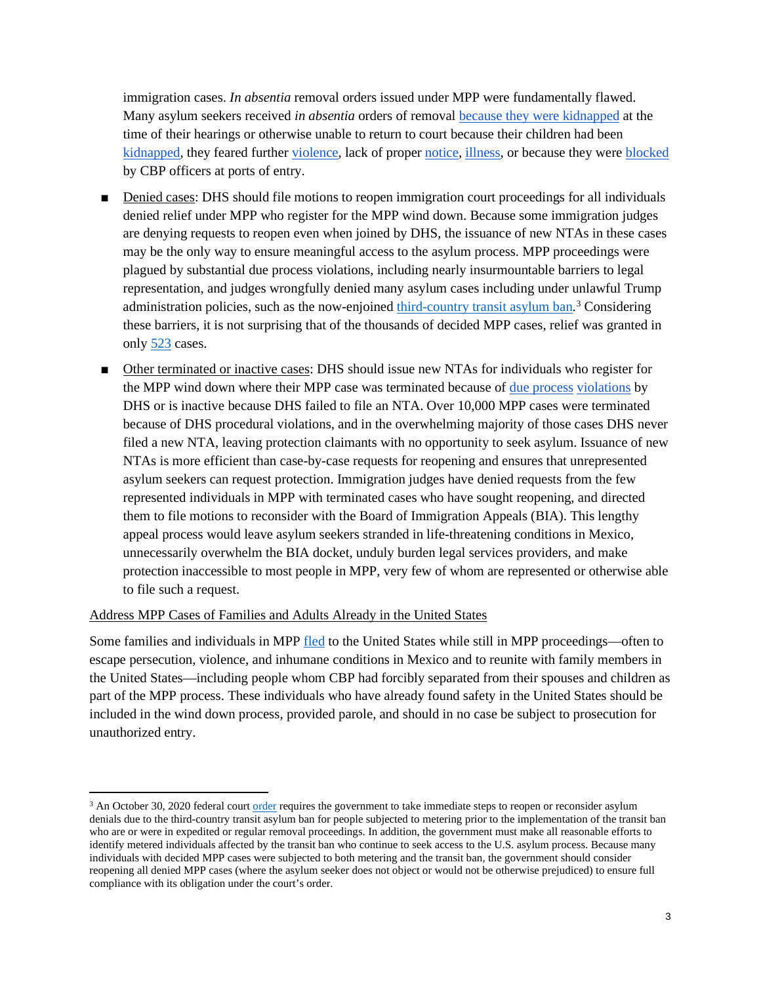immigration cases. *In absentia* removal orders issued under MPP were fundamentally flawed. Many asylum seekers received *in absentia* orders of removal [because they were kidnapped](https://www.washingtonpost.com/world/2021/04/24/mexico-border-migrant-asylum-mpp/) at the time of their hearings or otherwise unable to return to court because their children had been [kidnapped,](https://cliniclegal.org/stories/seven-migrant-protection-protocols-stories-estamos-unidos-asylum-project) they feared further [violence,](https://www.humanrightsfirst.org/sites/default/files/HumanRightsFiascoDec19.pdf) lack of proper [notice,](https://www.buzzfeednews.com/article/adolfoflores/asylum-notice-border-appear-facebook-mexico) [illness,](https://www.washingtonpost.com/world/2021/04/24/mexico-border-migrant-asylum-mpp/) or because they were [blocked](https://www.americanimmigrationcouncil.org/sites/default/files/general_litigation/statement_for_the_house_migrant_protection_protocols_11_21_19.pdf) by CBP officers at ports of entry.

- Denied cases: DHS should file motions to reopen immigration court proceedings for all individuals denied relief under MPP who register for the MPP wind down. Because some immigration judges are denying requests to reopen even when joined by DHS, the issuance of new NTAs in these cases may be the only way to ensure meaningful access to the asylum process. MPP proceedings were plagued by substantial due process violations, including nearly insurmountable barriers to legal representation, and judges wrongfully denied many asylum cases including under unlawful Trump administration policies, such as the now-enjoined [third-country transit asylum ban.](https://www.humanrightsfirst.org/resource/asylum-denied-families-divided-trump-administration-s-illegal-third-country-transit-ban)<sup>[3](#page-2-0)</sup> Considering these barriers, it is not surprising that of the thousands of decided MPP cases, relief was granted in only [523](https://www.cbp.gov/newsroom/stats/migrant-protection-protocols-fy-2020) cases.
- Other terminated or inactive cases: DHS should issue new NTAs for individuals who register for the MPP wind down where their MPP case was terminated because of [due process](https://www.sandiegouniontribune.com/news/immigration/story/2020-01-29/remain-in-mexico-one-year-later-how-a-single-policy-transformed-the-u-s-asylum-system) [violations](https://www.wsj.com/articles/judges-quietly-disrupt-trump-immigration-policy-in-san-diego-11574942400) by DHS or is inactive because DHS failed to file an NTA. Over 10,000 MPP cases were terminated because of DHS procedural violations, and in the overwhelming majority of those cases DHS never filed a new NTA, leaving protection claimants with no opportunity to seek asylum. Issuance of new NTAs is more efficient than case-by-case requests for reopening and ensures that unrepresented asylum seekers can request protection. Immigration judges have denied requests from the few represented individuals in MPP with terminated cases who have sought reopening, and directed them to file motions to reconsider with the Board of Immigration Appeals (BIA). This lengthy appeal process would leave asylum seekers stranded in life-threatening conditions in Mexico, unnecessarily overwhelm the BIA docket, unduly burden legal services providers, and make protection inaccessible to most people in MPP, very few of whom are represented or otherwise able to file such a request.

### Address MPP Cases of Families and Adults Already in the United States

Some families and individuals in MPP [fled](https://www.humanrightsfirst.org/sites/default/files/FactsheetFullyEndMPP.pdf) to the United States while still in MPP proceedings—often to escape persecution, violence, and inhumane conditions in Mexico and to reunite with family members in the United States—including people whom CBP had forcibly separated from their spouses and children as part of the MPP process. These individuals who have already found safety in the United States should be included in the wind down process, provided parole, and should in no case be subject to prosecution for unauthorized entry.

<span id="page-2-0"></span><sup>&</sup>lt;sup>3</sup> An October 30, 2020 federal court <u>order</u> requires the government to take immediate steps to reopen or reconsider asylum denials due to the third-country transit asylum ban for people subjected to metering prior to the implementation of the transit ban who are or were in expedited or regular removal proceedings. In addition, the government must make all reasonable efforts to identify metered individuals affected by the transit ban who continue to seek access to the U.S. asylum process. Because many individuals with decided MPP cases were subjected to both metering and the transit ban, the government should consider reopening all denied MPP cases (where the asylum seeker does not object or would not be otherwise prejudiced) to ensure full compliance with its obligation under the court's order.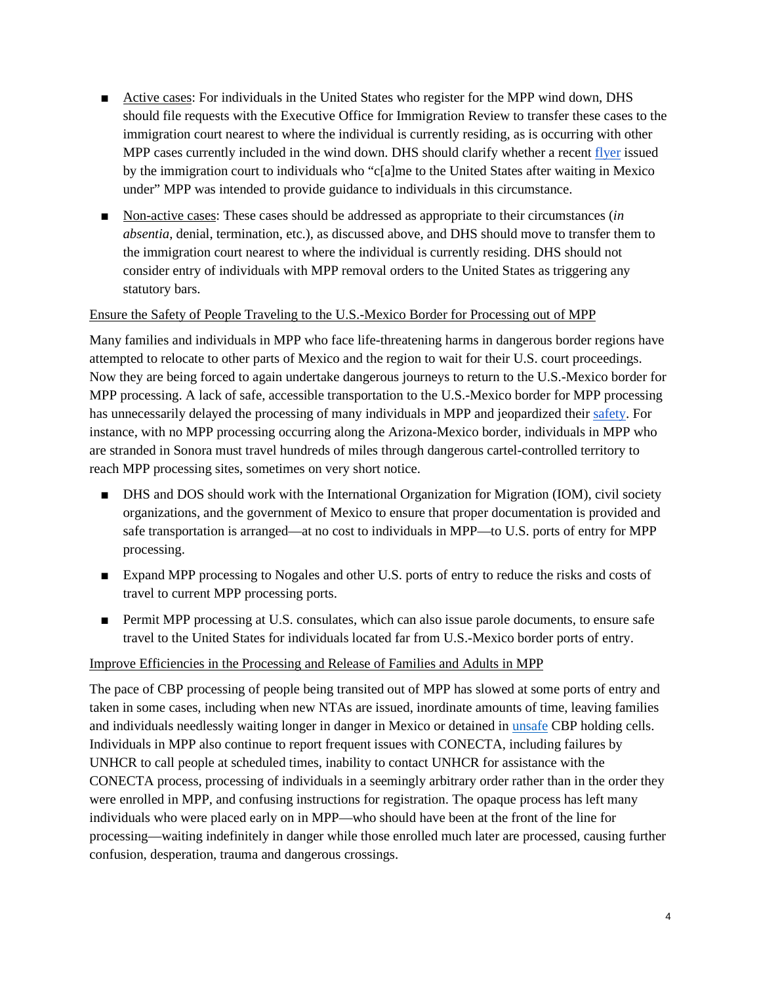- Active cases: For individuals in the United States who register for the MPP wind down, DHS should file requests with the Executive Office for Immigration Review to transfer these cases to the immigration court nearest to where the individual is currently residing, as is occurring with other MPP cases currently included in the wind down. DHS should clarify whether a recen[t flyer](https://content.govdelivery.com/attachments/USDOJ/2021/05/10/file_attachments/1803179/MPP%20flyer%20English.pdf) issued by the immigration court to individuals who "c[a]me to the United States after waiting in Mexico under" MPP was intended to provide guidance to individuals in this circumstance.
- Non-active cases: These cases should be addressed as appropriate to their circumstances (*in absentia*, denial, termination, etc.), as discussed above, and DHS should move to transfer them to the immigration court nearest to where the individual is currently residing. DHS should not consider entry of individuals with MPP removal orders to the United States as triggering any statutory bars.

## Ensure the Safety of People Traveling to the U.S.-Mexico Border for Processing out of MPP

Many families and individuals in MPP who face life-threatening harms in dangerous border regions have attempted to relocate to other parts of Mexico and the region to wait for their U.S. court proceedings. Now they are being forced to again undertake dangerous journeys to return to the U.S.-Mexico border for MPP processing. A lack of safe, accessible transportation to the U.S.-Mexico border for MPP processing has unnecessarily delayed the processing of many individuals in MPP and jeopardized their [safety.](https://deliveredtodanger.org/) For instance, with no MPP processing occurring along the Arizona-Mexico border, individuals in MPP who are stranded in Sonora must travel hundreds of miles through dangerous cartel-controlled territory to reach MPP processing sites, sometimes on very short notice.

- DHS and DOS should work with the International Organization for Migration (IOM), civil society organizations, and the government of Mexico to ensure that proper documentation is provided and safe transportation is arranged—at no cost to individuals in MPP—to U.S. ports of entry for MPP processing.
- Expand MPP processing to Nogales and other U.S. ports of entry to reduce the risks and costs of travel to current MPP processing ports.
- Permit MPP processing at U.S. consulates, which can also issue parole documents, to ensure safe travel to the United States for individuals located far from U.S.-Mexico border ports of entry.

### Improve Efficiencies in the Processing and Release of Families and Adults in MPP

The pace of CBP processing of people being transited out of MPP has slowed at some ports of entry and taken in some cases, including when new NTAs are issued, inordinate amounts of time, leaving families and individuals needlessly waiting longer in danger in Mexico or detained in [unsafe](https://www.americanimmigrationcouncil.org/sites/default/files/research/hieleras_iceboxes_in_the_rio_grande_valley_sector.pdf) CBP holding cells. Individuals in MPP also continue to report frequent issues with CONECTA, including failures by UNHCR to call people at scheduled times, inability to contact UNHCR for assistance with the CONECTA process, processing of individuals in a seemingly arbitrary order rather than in the order they were enrolled in MPP, and confusing instructions for registration. The opaque process has left many individuals who were placed early on in MPP—who should have been at the front of the line for processing—waiting indefinitely in danger while those enrolled much later are processed, causing further confusion, desperation, trauma and dangerous crossings.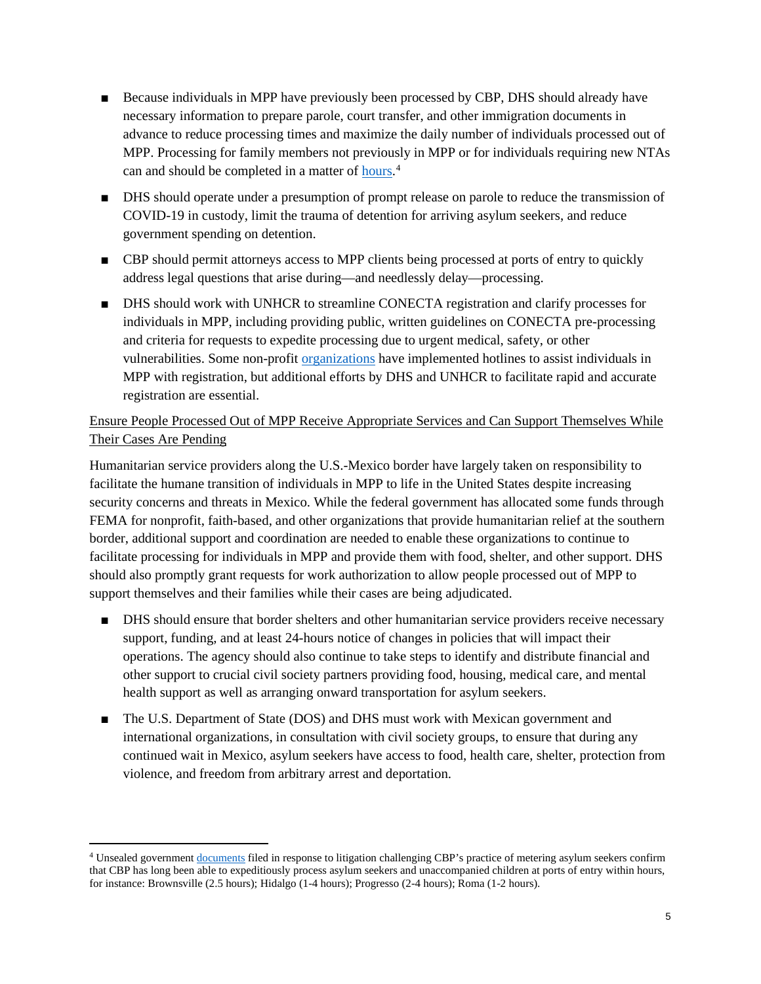- Because individuals in MPP have previously been processed by CBP, DHS should already have necessary information to prepare parole, court transfer, and other immigration documents in advance to reduce processing times and maximize the daily number of individuals processed out of MPP. Processing for family members not previously in MPP or for individuals requiring new NTAs can and should be completed in a matter of **hours**.<sup>[4](#page-4-0)</sup>
- DHS should operate under a presumption of prompt release on parole to reduce the transmission of COVID-19 in custody, limit the trauma of detention for arriving asylum seekers, and reduce government spending on detention.
- CBP should permit attorneys access to MPP clients being processed at ports of entry to quickly address legal questions that arise during—and needlessly delay—processing.
- DHS should work with UNHCR to streamline CONECTA registration and clarify processes for individuals in MPP, including providing public, written guidelines on CONECTA pre-processing and criteria for requests to expedite processing due to urgent medical, safety, or other vulnerabilities. Some non-profit [organizations](https://www.jfssd.org/sdrrn-legal-fellows/) have implemented hotlines to assist individuals in MPP with registration, but additional efforts by DHS and UNHCR to facilitate rapid and accurate registration are essential.

# Ensure People Processed Out of MPP Receive Appropriate Services and Can Support Themselves While Their Cases Are Pending

Humanitarian service providers along the U.S.-Mexico border have largely taken on responsibility to facilitate the humane transition of individuals in MPP to life in the United States despite increasing security concerns and threats in Mexico. While the federal government has allocated some funds through FEMA for nonprofit, faith-based, and other organizations that provide humanitarian relief at the southern border, additional support and coordination are needed to enable these organizations to continue to facilitate processing for individuals in MPP and provide them with food, shelter, and other support. DHS should also promptly grant requests for work authorization to allow people processed out of MPP to support themselves and their families while their cases are being adjudicated.

- DHS should ensure that border shelters and other humanitarian service providers receive necessary support, funding, and at least 24-hours notice of changes in policies that will impact their operations. The agency should also continue to take steps to identify and distribute financial and other support to crucial civil society partners providing food, housing, medical care, and mental health support as well as arranging onward transportation for asylum seekers.
- The U.S. Department of State (DOS) and DHS must work with Mexican government and international organizations, in consultation with civil society groups, to ensure that during any continued wait in Mexico, asylum seekers have access to food, health care, shelter, protection from violence, and freedom from arbitrary arrest and deportation.

<span id="page-4-0"></span><sup>4</sup> Unsealed governmen[t documents](https://www.documentcloud.org/documents/6776753-Metering-part-1.html;) filed in response to litigation challenging CBP's practice of metering asylum seekers confirm that CBP has long been able to expeditiously process asylum seekers and unaccompanied children at ports of entry within hours, for instance: Brownsville (2.5 hours); Hidalgo (1-4 hours); Progresso (2-4 hours); Roma (1-2 hours).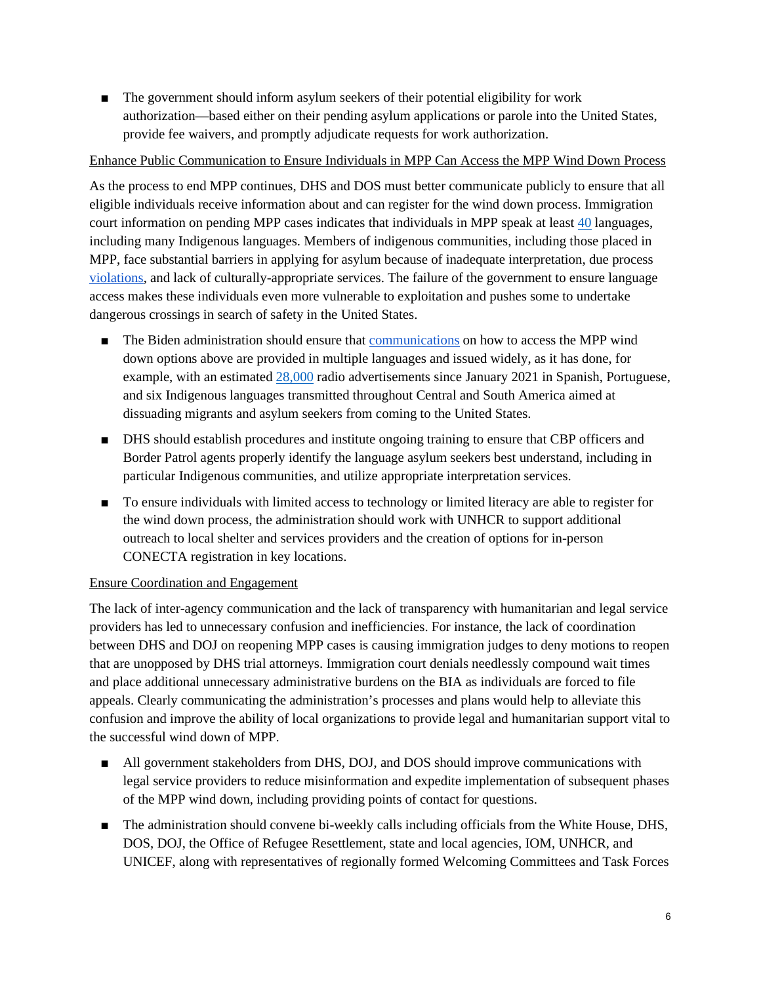■ The government should inform asylum seekers of their potential eligibility for work authorization—based either on their pending asylum applications or parole into the United States, provide fee waivers, and promptly adjudicate requests for work authorization.

# Enhance Public Communication to Ensure Individuals in MPP Can Access the MPP Wind Down Process

As the process to end MPP continues, DHS and DOS must better communicate publicly to ensure that all eligible individuals receive information about and can register for the wind down process. Immigration court information on pending MPP cases indicates that individuals in MPP speak at least [40](https://trac.syr.edu/immigration/reports/644/) languages, including many Indigenous languages. Members of indigenous communities, including those placed in MPP, face substantial barriers in applying for asylum because of inadequate interpretation, due process [violations,](https://uprdoc.ohchr.org/uprweb/downloadfile.aspx?filename=7670&file=EnglishTranslation) and lack of culturally-appropriate services. The failure of the government to ensure language access makes these individuals even more vulnerable to exploitation and pushes some to undertake dangerous crossings in search of safety in the United States.

- The Biden administration should ensure that [communications](https://icor.eoir.justice.gov/mpp_initiative_spanish_05_07_2021.pdf) on how to access the MPP wind down options above are provided in multiple languages and issued widely, as it has done, for example, with an estimated [28,000](https://www.cnn.com/2021/04/03/politics/border-radio-ad-campaign-latin-america-smugglers/index.html) radio advertisements since January 2021 in Spanish, Portuguese, and six Indigenous languages transmitted throughout Central and South America aimed at dissuading migrants and asylum seekers from coming to the United States.
- DHS should establish procedures and institute ongoing training to ensure that CBP officers and Border Patrol agents properly identify the language asylum seekers best understand, including in particular Indigenous communities, and utilize appropriate interpretation services.
- To ensure individuals with limited access to technology or limited literacy are able to register for the wind down process, the administration should work with UNHCR to support additional outreach to local shelter and services providers and the creation of options for in-person CONECTA registration in key locations.

## Ensure Coordination and Engagement

The lack of inter-agency communication and the lack of transparency with humanitarian and legal service providers has led to unnecessary confusion and inefficiencies. For instance, the lack of coordination between DHS and DOJ on reopening MPP cases is causing immigration judges to deny motions to reopen that are unopposed by DHS trial attorneys. Immigration court denials needlessly compound wait times and place additional unnecessary administrative burdens on the BIA as individuals are forced to file appeals. Clearly communicating the administration's processes and plans would help to alleviate this confusion and improve the ability of local organizations to provide legal and humanitarian support vital to the successful wind down of MPP.

- All government stakeholders from DHS, DOJ, and DOS should improve communications with legal service providers to reduce misinformation and expedite implementation of subsequent phases of the MPP wind down, including providing points of contact for questions.
- The administration should convene bi-weekly calls including officials from the White House, DHS, DOS, DOJ, the Office of Refugee Resettlement, state and local agencies, IOM, UNHCR, and UNICEF, along with representatives of regionally formed Welcoming Committees and Task Forces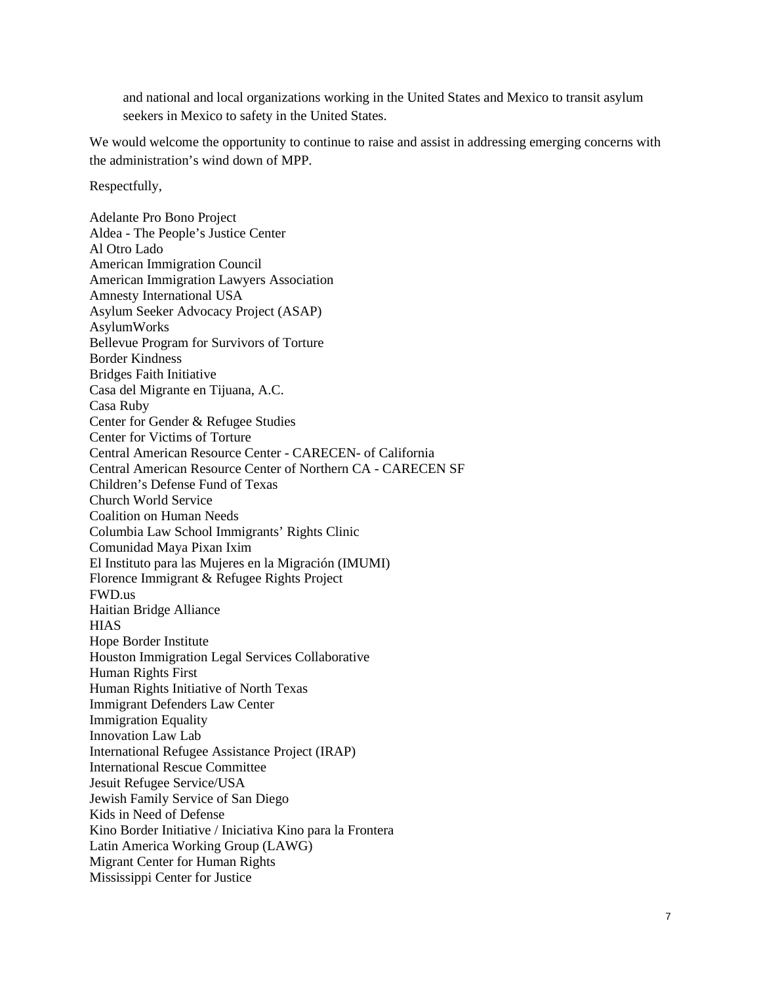and national and local organizations working in the United States and Mexico to transit asylum seekers in Mexico to safety in the United States.

We would welcome the opportunity to continue to raise and assist in addressing emerging concerns with the administration's wind down of MPP.

Respectfully,

Adelante Pro Bono Project Aldea - The People's Justice Center Al Otro Lado American Immigration Council American Immigration Lawyers Association Amnesty International USA Asylum Seeker Advocacy Project (ASAP) AsylumWorks Bellevue Program for Survivors of Torture Border Kindness Bridges Faith Initiative Casa del Migrante en Tijuana, A.C. Casa Ruby Center for Gender & Refugee Studies Center for Victims of Torture Central American Resource Center - CARECEN- of California Central American Resource Center of Northern CA - CARECEN SF Children's Defense Fund of Texas Church World Service Coalition on Human Needs Columbia Law School Immigrants' Rights Clinic Comunidad Maya Pixan Ixim El Instituto para las Mujeres en la Migración (IMUMI) Florence Immigrant & Refugee Rights Project FWD.us Haitian Bridge Alliance **HIAS** Hope Border Institute Houston Immigration Legal Services Collaborative Human Rights First Human Rights Initiative of North Texas Immigrant Defenders Law Center Immigration Equality Innovation Law Lab International Refugee Assistance Project (IRAP) International Rescue Committee Jesuit Refugee Service/USA Jewish Family Service of San Diego Kids in Need of Defense Kino Border Initiative / Iniciativa Kino para la Frontera Latin America Working Group (LAWG) Migrant Center for Human Rights Mississippi Center for Justice